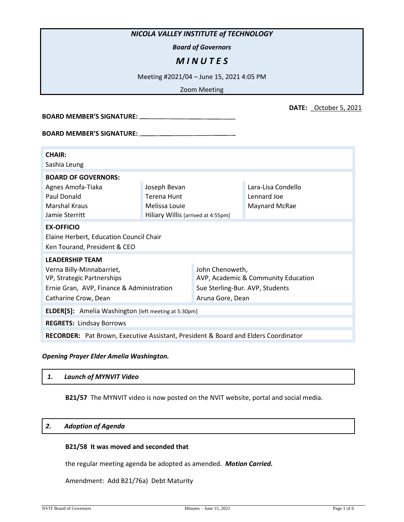## *NICOLA VALLEY INSTITUTE of TECHNOLOGY*

*Board of Governors*

# *M I N U T E S*

Meeting #2021/04 – June 15, 2021 4:05 PM

Zoom Meeting

| <b>BOARD MEMBER'S SIGNATURE:</b>                                                                                                                                                                                              |                                                                                    |                                                                                                               |                                                    |  |
|-------------------------------------------------------------------------------------------------------------------------------------------------------------------------------------------------------------------------------|------------------------------------------------------------------------------------|---------------------------------------------------------------------------------------------------------------|----------------------------------------------------|--|
| BOARD MEMBER'S SIGNATURE: Network and the set of the set of the set of the set of the set of the set of the set of the set of the set of the set of the set of the set of the set of the set of the set of the set of the set |                                                                                    |                                                                                                               |                                                    |  |
| <b>CHAIR:</b><br>Sashia Leung                                                                                                                                                                                                 |                                                                                    |                                                                                                               |                                                    |  |
| <b>BOARD OF GOVERNORS:</b><br>Agnes Amofa-Tiaka<br>Paul Donald<br><b>Marshal Kraus</b><br>Jamie Sterritt                                                                                                                      | Joseph Bevan<br>Terena Hunt<br>Melissa Louie<br>Hiliary Willis [arrived at 4:55pm] |                                                                                                               | Lara-Lisa Condello<br>Lennard Joe<br>Maynard McRae |  |
| <b>EX-OFFICIO</b><br>Elaine Herbert, Education Council Chair<br>Ken Tourand, President & CEO                                                                                                                                  |                                                                                    |                                                                                                               |                                                    |  |
| <b>LEADERSHIP TEAM</b><br>Verna Billy-Minnabarriet,<br>VP, Strategic Partnerships<br>Ernie Gran, AVP, Finance & Administration<br>Catharine Crow, Dean                                                                        |                                                                                    | John Chenoweth,<br>AVP, Academic & Community Education<br>Sue Sterling-Bur. AVP, Students<br>Aruna Gore, Dean |                                                    |  |
| <b>ELDER[S]:</b> Amelia Washington [left meeting at 5:30pm]                                                                                                                                                                   |                                                                                    |                                                                                                               |                                                    |  |
| <b>REGRETS: Lindsay Borrows</b>                                                                                                                                                                                               |                                                                                    |                                                                                                               |                                                    |  |
| <b>RECORDER:</b> Pat Brown, Executive Assistant, President & Board and Elders Coordinator                                                                                                                                     |                                                                                    |                                                                                                               |                                                    |  |

## *Opening Prayer Elder Amelia Washington.*

| Launch of MYNVIT Video<br>1. |  |
|------------------------------|--|
|------------------------------|--|

**B21/57** The MYNVIT video is now posted on the NVIT website, portal and social media.

# *2. Adoption of Agenda*

## **B21/58 It was moved and seconded that**

the regular meeting agenda be adopted as amended. *Motion Carried.*

Amendment: Add B21/76a) Debt Maturity

**DATE:** \_October 5, 2021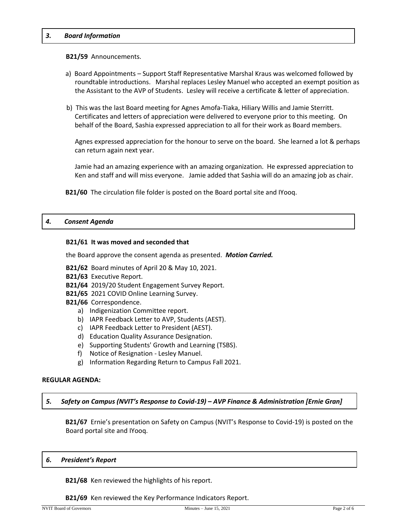### *3. Board Information*

### **B21/59** Announcements.

- a) Board Appointments Support Staff Representative Marshal Kraus was welcomed followed by roundtable introductions. Marshal replaces Lesley Manuel who accepted an exempt position as the Assistant to the AVP of Students. Lesley will receive a certificate & letter of appreciation.
- b) This was the last Board meeting for Agnes Amofa-Tiaka, Hiliary Willis and Jamie Sterritt. Certificates and letters of appreciation were delivered to everyone prior to this meeting. On behalf of the Board, Sashia expressed appreciation to all for their work as Board members.

Agnes expressed appreciation for the honour to serve on the board. She learned a lot & perhaps can return again next year.

Jamie had an amazing experience with an amazing organization. He expressed appreciation to Ken and staff and will miss everyone. Jamie added that Sashia will do an amazing job as chair.

**B21/60** The circulation file folder is posted on the Board portal site and IYooq.

## *4. Consent Agenda*

### **B21/61 It was moved and seconded that**

the Board approve the consent agenda as presented. *Motion Carried.*

**B21/62** Board minutes of April 20 & May 10, 2021.

- **B21/63** Executive Report.
- **B21/64** 2019/20 Student Engagement Survey Report.
- **B21/65** 2021 COVID Online Learning Survey.
- **B21/66** Correspondence.
	- a) Indigenization Committee report.
	- b) IAPR Feedback Letter to AVP, Students (AEST).
	- c) IAPR Feedback Letter to President (AEST).
	- d) Education Quality Assurance Designation.
	- e) Supporting Students' Growth and Learning (TSBS).
	- f) Notice of Resignation Lesley Manuel.
	- g) Information Regarding Return to Campus Fall 2021.

### **REGULAR AGENDA:**

*5. Safety on Campus (NVIT's Response to Covid-19) – AVP Finance & Administration [Ernie Gran]*

**B21/67** Ernie's presentation on Safety on Campus (NVIT's Response to Covid-19) is posted on the Board portal site and IYooq.

### *6. President's Report*

**B21/68** Ken reviewed the highlights of his report.

**B21/69** Ken reviewed the Key Performance Indicators Report.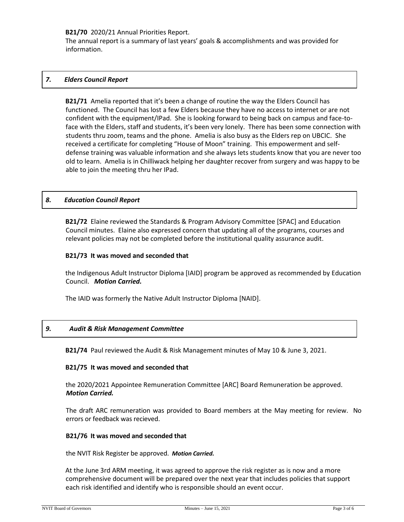## **B21/70** 2020/21 Annual Priorities Report.

The annual report is a summary of last years' goals & accomplishments and was provided for information.

## *7. Elders Council Report*

**B21/71** Amelia reported that it's been a change of routine the way the Elders Council has functioned. The Council has lost a few Elders because they have no access to internet or are not confident with the equipment/IPad. She is looking forward to being back on campus and face-toface with the Elders, staff and students, it's been very lonely. There has been some connection with students thru zoom, teams and the phone. Amelia is also busy as the Elders rep on UBCIC. She received a certificate for completing "House of Moon" training. This empowerment and selfdefense training was valuable information and she always lets students know that you are never too old to learn. Amelia is in Chilliwack helping her daughter recover from surgery and was happy to be able to join the meeting thru her IPad.

## *8. Education Council Report*

**B21/72** Elaine reviewed the Standards & Program Advisory Committee [SPAC] and Education Council minutes. Elaine also expressed concern that updating all of the programs, courses and relevant policies may not be completed before the institutional quality assurance audit.

## **B21/73 It was moved and seconded that**

the Indigenous Adult Instructor Diploma [IAID] program be approved as recommended by Education Council. *Motion Carried.*

The IAID was formerly the Native Adult Instructor Diploma [NAID].

## *9. Audit & Risk Management Committee*

**B21/74** Paul reviewed the Audit & Risk Management minutes of May 10 & June 3, 2021.

### **B21/75 It was moved and seconded that**

the 2020/2021 Appointee Remuneration Committee [ARC] Board Remuneration be approved. *Motion Carried.*

The draft ARC remuneration was provided to Board members at the May meeting for review. No errors or feedback was recieved.

### **B21/76 It was moved and seconded that**

the NVIT Risk Register be approved. *Motion Carried.*

At the June 3rd ARM meeting, it was agreed to approve the risk register as is now and a more comprehensive document will be prepared over the next year that includes policies that support each risk identified and identify who is responsible should an event occur.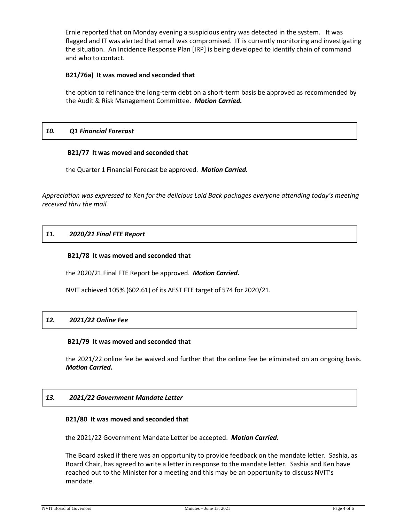Ernie reported that on Monday evening a suspicious entry was detected in the system. It was flagged and IT was alerted that email was compromised. IT is currently monitoring and investigating the situation. An Incidence Response Plan [IRP] is being developed to identify chain of command and who to contact.

## **B21/76a) It was moved and seconded that**

the option to refinance the long-term debt on a short-term basis be approved as recommended by the Audit & Risk Management Committee. *Motion Carried.*

## *10. Q1 Financial Forecast*

## **B21/77 It was moved and seconded that**

the Quarter 1 Financial Forecast be approved. *Motion Carried.*

*Appreciation was expressed to Ken for the delicious Laid Back packages everyone attending today's meeting received thru the mail.*

## *11. 2020/21 Final FTE Report*

## **B21/78 It was moved and seconded that**

the 2020/21 Final FTE Report be approved. *Motion Carried.*

NVIT achieved 105% (602.61) of its AEST FTE target of 574 for 2020/21.

## *12. 2021/22 Online Fee*

### **B21/79 It was moved and seconded that**

the 2021/22 online fee be waived and further that the online fee be eliminated on an ongoing basis. *Motion Carried.*

## *13. 2021/22 Government Mandate Letter*

### **B21/80 It was moved and seconded that**

the 2021/22 Government Mandate Letter be accepted. *Motion Carried.*

The Board asked if there was an opportunity to provide feedback on the mandate letter. Sashia, as Board Chair, has agreed to write a letter in response to the mandate letter. Sashia and Ken have reached out to the Minister for a meeting and this may be an opportunity to discuss NVIT's mandate.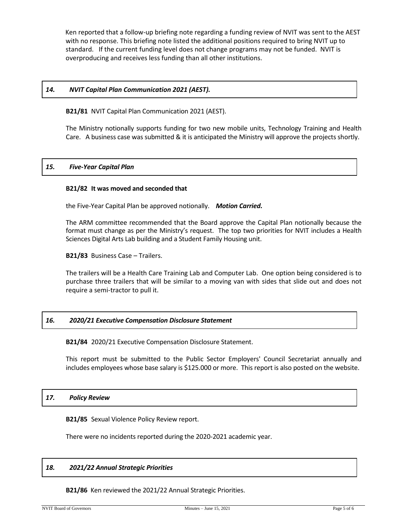Ken reported that a follow-up briefing note regarding a funding review of NVIT was sent to the AEST with no response. This briefing note listed the additional positions required to bring NVIT up to standard. If the current funding level does not change programs may not be funded. NVIT is overproducing and receives less funding than all other institutions.

## *14. NVIT Capital Plan Communication 2021 (AEST).*

**B21/81** NVIT Capital Plan Communication 2021 (AEST).

The Ministry notionally supports funding for two new mobile units, Technology Training and Health Care. A business case was submitted & it is anticipated the Ministry will approve the projects shortly.

### *15. Five-Year Capital Plan*

#### **B21/82 It was moved and seconded that**

the Five-Year Capital Plan be approved notionally. *Motion Carried.*

The ARM committee recommended that the Board approve the Capital Plan notionally because the format must change as per the Ministry's request. The top two priorities for NVIT includes a Health Sciences Digital Arts Lab building and a Student Family Housing unit.

**B21/83** Business Case – Trailers.

The trailers will be a Health Care Training Lab and Computer Lab. One option being considered is to purchase three trailers that will be similar to a moving van with sides that slide out and does not require a semi-tractor to pull it.

### *16. 2020/21 Executive Compensation Disclosure Statement*

**B21/84** 2020/21 Executive Compensation Disclosure Statement.

This report must be submitted to the Public Sector Employers' Council Secretariat annually and includes employees whose base salary is \$125.000 or more. This report is also posted on the website.

### *17. Policy Review*

**B21/85** Sexual Violence Policy Review report.

There were no incidents reported during the 2020-2021 academic year.

### *18. 2021/22 Annual Strategic Priorities*

**B21/86** Ken reviewed the 2021/22 Annual Strategic Priorities.